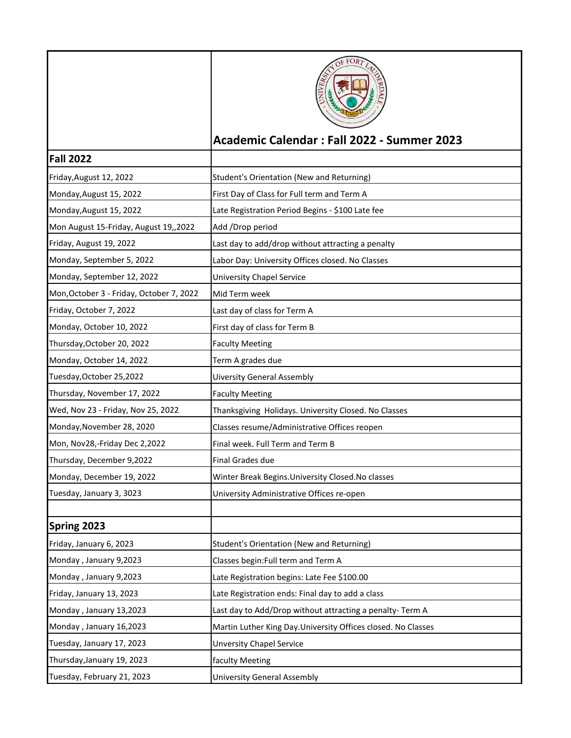|                                          | Academic Calendar: Fall 2022 - Summer 2023                   |
|------------------------------------------|--------------------------------------------------------------|
| <b>Fall 2022</b>                         |                                                              |
|                                          |                                                              |
| Friday, August 12, 2022                  | Student's Orientation (New and Returning)                    |
| Monday, August 15, 2022                  | First Day of Class for Full term and Term A                  |
| Monday, August 15, 2022                  | Late Registration Period Begins - \$100 Late fee             |
| Mon August 15-Friday, August 19,,2022    | Add /Drop period                                             |
| Friday, August 19, 2022                  | Last day to add/drop without attracting a penalty            |
| Monday, September 5, 2022                | Labor Day: University Offices closed. No Classes             |
| Monday, September 12, 2022               | <b>University Chapel Service</b>                             |
| Mon, October 3 - Friday, October 7, 2022 | Mid Term week                                                |
| Friday, October 7, 2022                  | Last day of class for Term A                                 |
| Monday, October 10, 2022                 | First day of class for Term B                                |
| Thursday, October 20, 2022               | <b>Faculty Meeting</b>                                       |
| Monday, October 14, 2022                 | Term A grades due                                            |
| Tuesday, October 25, 2022                | <b>Uiversity General Assembly</b>                            |
| Thursday, November 17, 2022              | <b>Faculty Meeting</b>                                       |
| Wed, Nov 23 - Friday, Nov 25, 2022       | Thanksgiving Holidays. University Closed. No Classes         |
| Monday, November 28, 2020                | Classes resume/Administrative Offices reopen                 |
| Mon, Nov28,-Friday Dec 2,2022            | Final week. Full Term and Term B                             |
| Thursday, December 9,2022                | Final Grades due                                             |
| Monday, December 19, 2022                | Winter Break Begins. University Closed. No classes           |
| Tuesday, January 3, 3023                 | University Administrative Offices re-open                    |
|                                          |                                                              |
| Spring 2023                              |                                                              |
| Friday, January 6, 2023                  | Student's Orientation (New and Returning)                    |
| Monday, January 9,2023                   | Classes begin: Full term and Term A                          |
| Monday, January 9,2023                   | Late Registration begins: Late Fee \$100.00                  |
| Friday, January 13, 2023                 | Late Registration ends: Final day to add a class             |
| Monday, January 13,2023                  | Last day to Add/Drop without attracting a penalty- Term A    |
| Monday, January 16,2023                  | Martin Luther King Day.University Offices closed. No Classes |
| Tuesday, January 17, 2023                | <b>Unversity Chapel Service</b>                              |
| Thursday, January 19, 2023               | faculty Meeting                                              |
| Tuesday, February 21, 2023               | University General Assembly                                  |